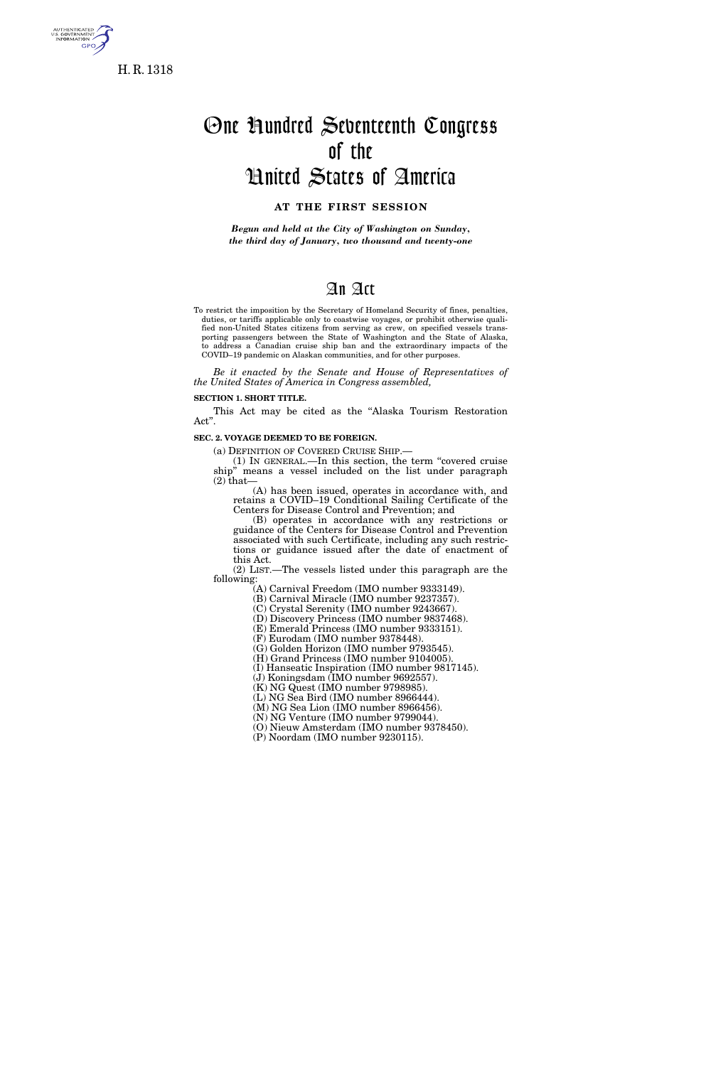

**GPO** 

# One Hundred Seventeenth Congress of the United States of America

# **AT THE FIRST SESSION**

*Begun and held at the City of Washington on Sunday, the third day of January, two thousand and twenty-one* 

# An Act

To restrict the imposition by the Secretary of Homeland Security of fines, penalties, duties, or tariffs applicable only to coastwise voyages, or prohibit otherwise qualified non-United States citizens from serving as crew, on specified vessels transporting passengers between the State of Washington and the State of Alaska, to address a Canadian cruise ship ban and the extraordinary impacts of the COVID–19 pandemic on Alaskan communities, and for other purposes.

*Be it enacted by the Senate and House of Representatives of the United States of America in Congress assembled,* 

# **SECTION 1. SHORT TITLE.**

This Act may be cited as the ''Alaska Tourism Restoration Act''.

#### **SEC. 2. VOYAGE DEEMED TO BE FOREIGN.**

(a) DEFINITION OF COVERED CRUISE SHIP.—

(1) IN GENERAL.—In this section, the term ''covered cruise ship'' means a vessel included on the list under paragraph  $(2)$  that-

(A) has been issued, operates in accordance with, and retains a COVID–19 Conditional Sailing Certificate of the Centers for Disease Control and Prevention; and

(B) operates in accordance with any restrictions or guidance of the Centers for Disease Control and Prevention associated with such Certificate, including any such restrictions or guidance issued after the date of enactment of this Act.

(2) LIST.—The vessels listed under this paragraph are the following:

(A) Carnival Freedom (IMO number 9333149).

(B) Carnival Miracle (IMO number 9237357).

(C) Crystal Serenity (IMO number 9243667).

(D) Discovery Princess (IMO number 9837468).

(E) Emerald Princess (IMO number 9333151). (F) Eurodam (IMO number 9378448).

(G) Golden Horizon (IMO number 9793545).

(H) Grand Princess (IMO number 9104005).

(I) Hanseatic Inspiration (IMO number 9817145).

(J) Koningsdam (IMO number 9692557).

(K) NG Quest (IMO number 9798985).

(L) NG Sea Bird (IMO number 8966444).

(M) NG Sea Lion (IMO number 8966456).

(N) NG Venture (IMO number 9799044).

(O) Nieuw Amsterdam (IMO number 9378450).

(P) Noordam (IMO number 9230115).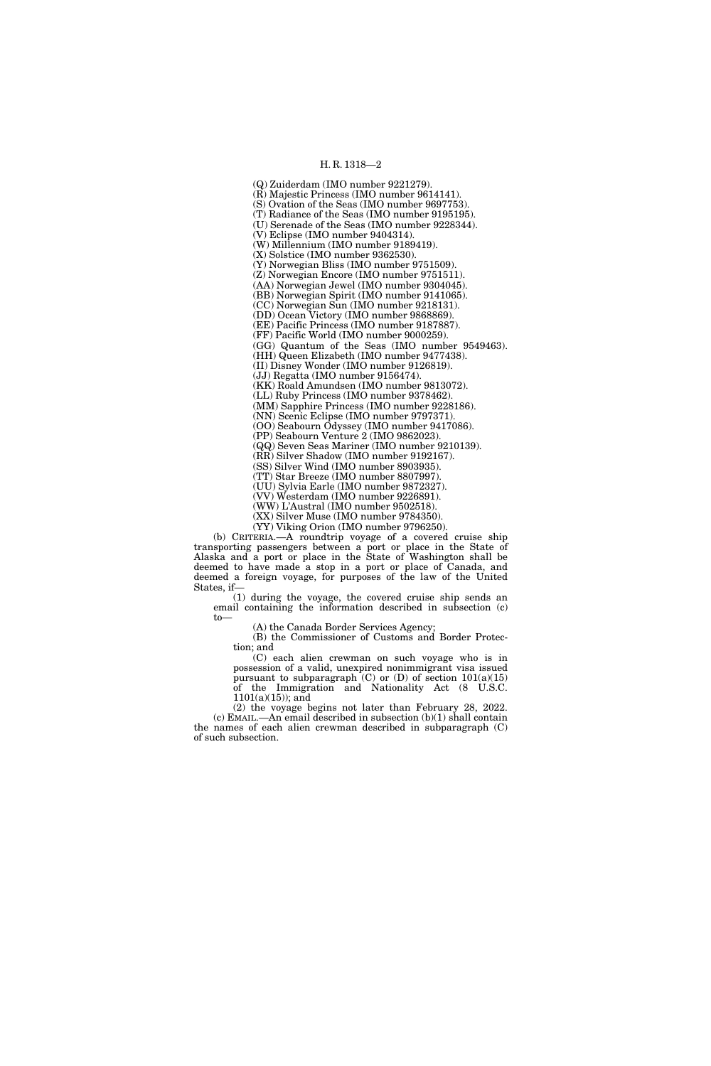# H. R. 1318—2

(Q) Zuiderdam (IMO number 9221279). (R) Majestic Princess (IMO number 9614141). (S) Ovation of the Seas (IMO number 9697753). (T) Radiance of the Seas (IMO number 9195195). (U) Serenade of the Seas (IMO number 9228344). (V) Eclipse (IMO number 9404314). (W) Millennium (IMO number 9189419). (X) Solstice (IMO number 9362530). (Y) Norwegian Bliss (IMO number 9751509). (Z) Norwegian Encore (IMO number 9751511). (AA) Norwegian Jewel (IMO number 9304045). (BB) Norwegian Spirit (IMO number 9141065). (CC) Norwegian Sun (IMO number 9218131). (DD) Ocean Victory (IMO number 9868869). (EE) Pacific Princess (IMO number 9187887). (FF) Pacific World (IMO number 9000259). (GG) Quantum of the Seas (IMO number 9549463). (HH) Queen Elizabeth (IMO number 9477438). (II) Disney Wonder (IMO number 9126819). (JJ) Regatta (IMO number 9156474). (KK) Roald Amundsen (IMO number 9813072). (LL) Ruby Princess (IMO number 9378462). (MM) Sapphire Princess (IMO number 9228186). (NN) Scenic Eclipse (IMO number 9797371). (OO) Seabourn Odyssey (IMO number 9417086). (PP) Seabourn Venture 2 (IMO 9862023). (QQ) Seven Seas Mariner (IMO number 9210139). (RR) Silver Shadow (IMO number 9192167). (SS) Silver Wind (IMO number 8903935). (TT) Star Breeze (IMO number 8807997). (UU) Sylvia Earle (IMO number 9872327). (VV) Westerdam (IMO number 9226891). (WW) L'Austral (IMO number 9502518). (XX) Silver Muse (IMO number 9784350). (YY) Viking Orion (IMO number 9796250).

(b) CRITERIA.—A roundtrip voyage of a covered cruise ship transporting passengers between a port or place in the State of Alaska and a port or place in the State of Washington shall be deemed to have made a stop in a port or place of Canada, and deemed a foreign voyage, for purposes of the law of the United States, if—

(1) during the voyage, the covered cruise ship sends an email containing the information described in subsection (c) to—

(A) the Canada Border Services Agency;

(B) the Commissioner of Customs and Border Protection; and

(C) each alien crewman on such voyage who is in possession of a valid, unexpired nonimmigrant visa issued pursuant to subparagraph  $(C)$  or  $(D)$  of section  $101(a)(15)$ of the Immigration and Nationality Act (8 U.S.C.  $1101(a)(15)$ ; and

(2) the voyage begins not later than February 28, 2022. (c) EMAIL.—An email described in subsection (b)(1) shall contain the names of each alien crewman described in subparagraph (C) of such subsection.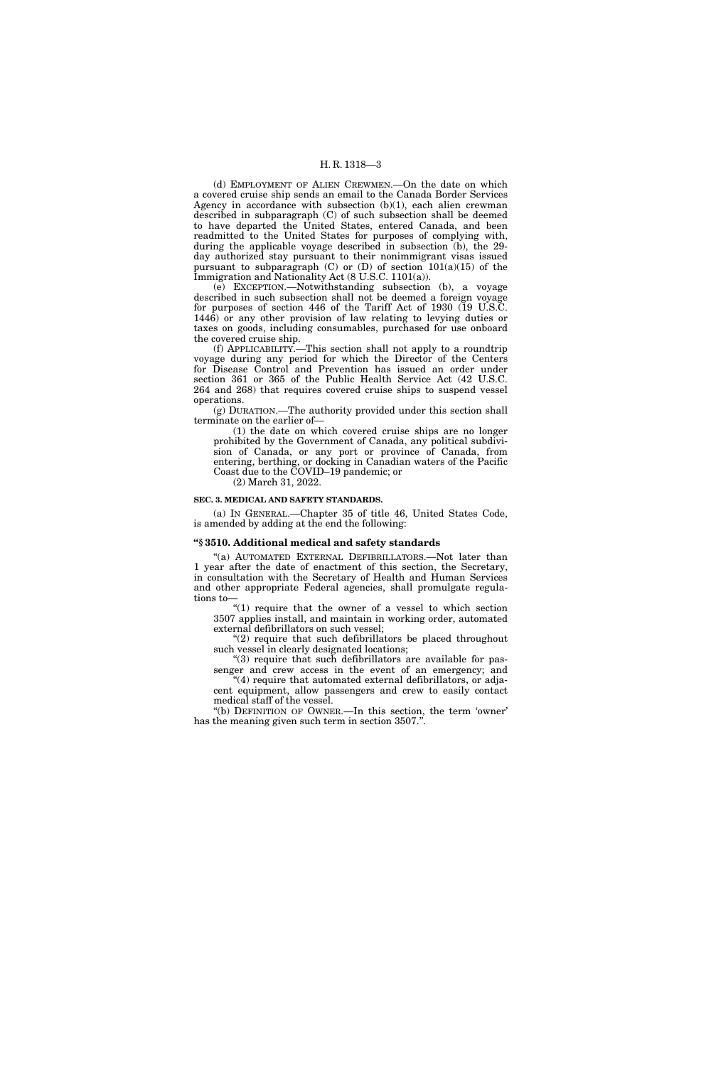### H. R. 1318—3

(d) EMPLOYMENT OF ALIEN CREWMEN.—On the date on which a covered cruise ship sends an email to the Canada Border Services Agency in accordance with subsection (b)(1), each alien crewman described in subparagraph (C) of such subsection shall be deemed to have departed the United States, entered Canada, and been readmitted to the United States for purposes of complying with, during the applicable voyage described in subsection (b), the 29day authorized stay pursuant to their nonimmigrant visas issued pursuant to subparagraph (C) or (D) of section 101(a)(15) of the Immigration and Nationality Act (8 U.S.C. 1101(a)).

(e) EXCEPTION.—Notwithstanding subsection (b), a voyage described in such subsection shall not be deemed a foreign voyage for purposes of section 446 of the Tariff Act of 1930 (19 U.S.C. 1446) or any other provision of law relating to levying duties or taxes on goods, including consumables, purchased for use onboard the covered cruise ship.

(f) APPLICABILITY.—This section shall not apply to a roundtrip voyage during any period for which the Director of the Centers for Disease Control and Prevention has issued an order under section 361 or 365 of the Public Health Service Act (42 U.S.C. 264 and 268) that requires covered cruise ships to suspend vessel operations.

(g) DURATION.—The authority provided under this section shall terminate on the earlier of—

(1) the date on which covered cruise ships are no longer prohibited by the Government of Canada, any political subdivision of Canada, or any port or province of Canada, from entering, berthing, or docking in Canadian waters of the Pacific Coast due to the COVID–19 pandemic; or

(2) March 31, 2022.

#### **SEC. 3. MEDICAL AND SAFETY STANDARDS.**

(a) IN GENERAL.—Chapter 35 of title 46, United States Code, is amended by adding at the end the following:

## **''§ 3510. Additional medical and safety standards**

''(a) AUTOMATED EXTERNAL DEFIBRILLATORS.—Not later than 1 year after the date of enactment of this section, the Secretary, in consultation with the Secretary of Health and Human Services and other appropriate Federal agencies, shall promulgate regulations to—

''(1) require that the owner of a vessel to which section 3507 applies install, and maintain in working order, automated external defibrillators on such vessel;

"(2) require that such defibrillators be placed throughout such vessel in clearly designated locations;

"(3) require that such defibrillators are available for passenger and crew access in the event of an emergency; and "(4) require that automated external defibrillators, or adja-

cent equipment, allow passengers and crew to easily contact medical staff of the vessel.

''(b) DEFINITION OF OWNER.—In this section, the term 'owner' has the meaning given such term in section 3507.''.